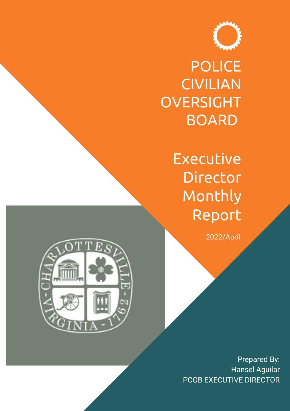

POLICE CIVILIAN **OVERSIGHT** BOARD

> Executive **Director** Monthly Report

> > 2022/April



Prepared By: Hansel Aguilar PCOB EXECUTIVE DIRECTOR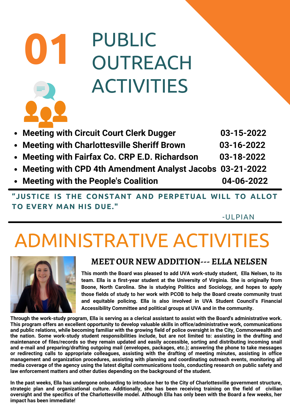### PUBLIC **OUTREACH** ACTIVITIES **01 Meeting with Circuit Court Clerk Dugger 03-15-2022 Meeting with Charlottesville Sheriff Brown 03-16-2022**

- **Meeting with Fairfax Co. CRP E.D. Richardson 03-18-2022**
- **Meeting with CPD 4th Amendment Analyst Jacobs 03-21-2022**
- **Meeting with the People's Coalition 04-06-2022**

**"JUSTICE IS THE CONSTANT AND PERPETUAL WILL TO ALLOT TO EVERY MAN HIS DUE."**

-ULPIAN

## ADMINISTRATIVE ACTIVITIES



#### **MEET OUR NEW ADDITION--- ELLA NELSEN**

**This month the Board was pleased to add UVA work-study student, Ella Nelsen, to its team. Ella is a first-year student at the University of Virginia. She is originally from Boone, North Carolina. She is studying Politics and Sociology, and hopes to apply those fields of study to her work with PCOB to help the Board create community trust and equitable policing. Ella is also involved in UVA Student Council's Financial Accessibility Committee and political groups at UVA and in the community.**

**Through the work-study program, Ella is serving as a clerical assistant to assist with the Board's administrative work. This program offers an excellent opportunity to develop valuable skills in office/administrative work, communications and public relations, while becoming familiar with the growing field of police oversight in the City, Commonwealth and the nation. Some work-study student responsibilities include, but are not limited to: assisting in the drafting and maintenance of files/records so they remain updated and easily accessible, sorting and distributing incoming snail and e-mail and preparing/drafting outgoing mail (envelopes, packages, etc.); answering the phone to take messages or redirecting calls to appropriate colleagues, assisting with the drafting of meeting minutes, assisting in office management and organization procedures, assisting with planning and coordinating outreach events, monitoring all media coverage of the agency using the latest digital communications tools, conducting research on public safety and law enforcement matters and other duties depending on the background of the student.**

**In the past weeks, Ella has undergone onboarding to introduce her to the City of Charlottesville government structure, strategic plan and organizational culture. Additionally, she has been receiving training on the field of civilian oversight and the specifics of the Charlottesville model. Although Ella has only been with the Board a few weeks, her impact has been immediate!**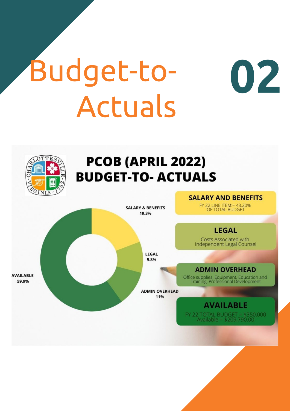# Budget-to-**Actuals**

 $\overline{OPT}E$ 

**AVAILABLE** 

59.9%



**SALARY & BENEFITS** 19.3%

> LEGAL 9.8%

#### **SALARY AND BENEFITS**

02

FY 22 LINE ITEM:= 43.20%<br>OF TOTAL BUDGET



**ADMIN OVERHEAD** 

Office supplies, Equipment, Education and<br>Training, Professional Development

**ADMIN OVERHEAD** 11%

> **AVAILABLE** FY 22 TOTAL BUDGET = \$350,000<br>Available = \$209,790.00